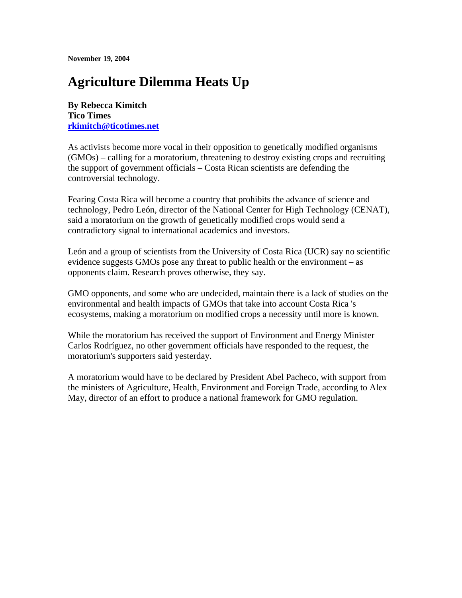**November 19, 2004** 

## **Agriculture Dilemma Heats Up**

**By Rebecca Kimitch Tico Times rkimitch@ticotimes.net**

As activists become more vocal in their opposition to genetically modified organisms (GMOs) – calling for a moratorium, threatening to destroy existing crops and recruiting the support of government officials – Costa Rican scientists are defending the controversial technology.

Fearing Costa Rica will become a country that prohibits the advance of science and technology, Pedro León, director of the National Center for High Technology (CENAT), said a moratorium on the growth of genetically modified crops would send a contradictory signal to international academics and investors.

León and a group of scientists from the University of Costa Rica (UCR) say no scientific evidence suggests GMOs pose any threat to public health or the environment – as opponents claim. Research proves otherwise, they say.

GMO opponents, and some who are undecided, maintain there is a lack of studies on the environmental and health impacts of GMOs that take into account Costa Rica 's ecosystems, making a moratorium on modified crops a necessity until more is known.

While the moratorium has received the support of Environment and Energy Minister Carlos Rodríguez, no other government officials have responded to the request, the moratorium's supporters said yesterday.

A moratorium would have to be declared by President Abel Pacheco, with support from the ministers of Agriculture, Health, Environment and Foreign Trade, according to Alex May, director of an effort to produce a national framework for GMO regulation.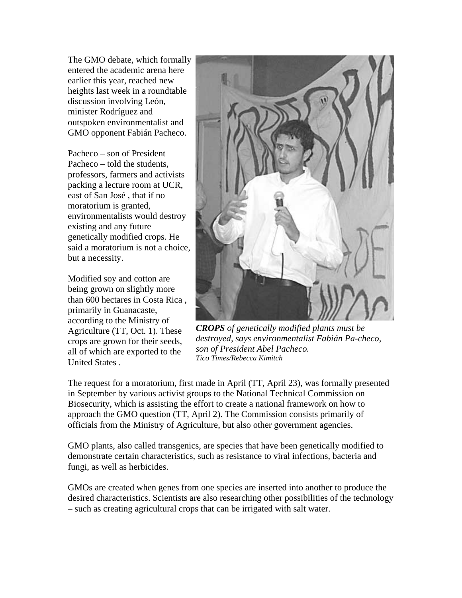The GMO debate, which formally entered the academic arena here earlier this year, reached new heights last week in a roundtable discussion involving León, minister Rodríguez and outspoken environmentalist and GMO opponent Fabián Pacheco.

Pacheco – son of President Pacheco – told the students, professors, farmers and activists packing a lecture room at UCR, east of San José , that if no moratorium is granted, environmentalists would destroy existing and any future genetically modified crops. He said a moratorium is not a choice, but a necessity.

Modified soy and cotton are being grown on slightly more than 600 hectares in Costa Rica , primarily in Guanacaste, according to the Ministry of Agriculture (TT, Oct. 1). These crops are grown for their seeds, all of which are exported to the United States .



*CROPS of genetically modified plants must be destroyed, says environmentalist Fabián Pa-checo, son of President Abel Pacheco. Tico Times/Rebecca Kimitch* 

The request for a moratorium, first made in April (TT, April 23), was formally presented in September by various activist groups to the National Technical Commission on Biosecurity, which is assisting the effort to create a national framework on how to approach the GMO question (TT, April 2). The Commission consists primarily of officials from the Ministry of Agriculture, but also other government agencies.

GMO plants, also called transgenics, are species that have been genetically modified to demonstrate certain characteristics, such as resistance to viral infections, bacteria and fungi, as well as herbicides.

GMOs are created when genes from one species are inserted into another to produce the desired characteristics. Scientists are also researching other possibilities of the technology – such as creating agricultural crops that can be irrigated with salt water.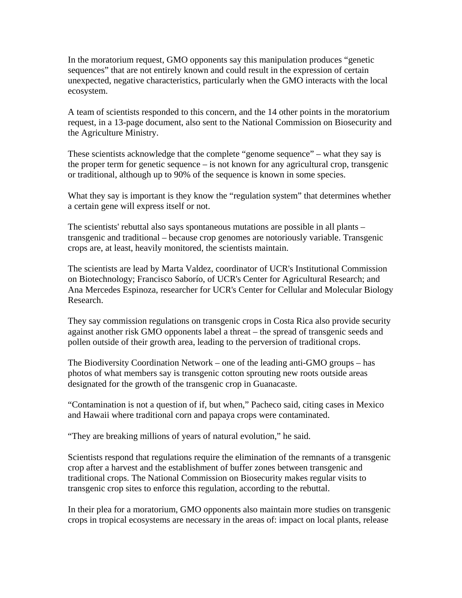In the moratorium request, GMO opponents say this manipulation produces "genetic sequences" that are not entirely known and could result in the expression of certain unexpected, negative characteristics, particularly when the GMO interacts with the local ecosystem.

A team of scientists responded to this concern, and the 14 other points in the moratorium request, in a 13-page document, also sent to the National Commission on Biosecurity and the Agriculture Ministry.

These scientists acknowledge that the complete "genome sequence" – what they say is the proper term for genetic sequence – is not known for any agricultural crop, transgenic or traditional, although up to 90% of the sequence is known in some species.

What they say is important is they know the "regulation system" that determines whether a certain gene will express itself or not.

The scientists' rebuttal also says spontaneous mutations are possible in all plants – transgenic and traditional – because crop genomes are notoriously variable. Transgenic crops are, at least, heavily monitored, the scientists maintain.

The scientists are lead by Marta Valdez, coordinator of UCR's Institutional Commission on Biotechnology; Francisco Saborío, of UCR's Center for Agricultural Research; and Ana Mercedes Espinoza, researcher for UCR's Center for Cellular and Molecular Biology Research.

They say commission regulations on transgenic crops in Costa Rica also provide security against another risk GMO opponents label a threat – the spread of transgenic seeds and pollen outside of their growth area, leading to the perversion of traditional crops.

The Biodiversity Coordination Network – one of the leading anti-GMO groups – has photos of what members say is transgenic cotton sprouting new roots outside areas designated for the growth of the transgenic crop in Guanacaste.

"Contamination is not a question of if, but when," Pacheco said, citing cases in Mexico and Hawaii where traditional corn and papaya crops were contaminated.

"They are breaking millions of years of natural evolution," he said.

Scientists respond that regulations require the elimination of the remnants of a transgenic crop after a harvest and the establishment of buffer zones between transgenic and traditional crops. The National Commission on Biosecurity makes regular visits to transgenic crop sites to enforce this regulation, according to the rebuttal.

In their plea for a moratorium, GMO opponents also maintain more studies on transgenic crops in tropical ecosystems are necessary in the areas of: impact on local plants, release